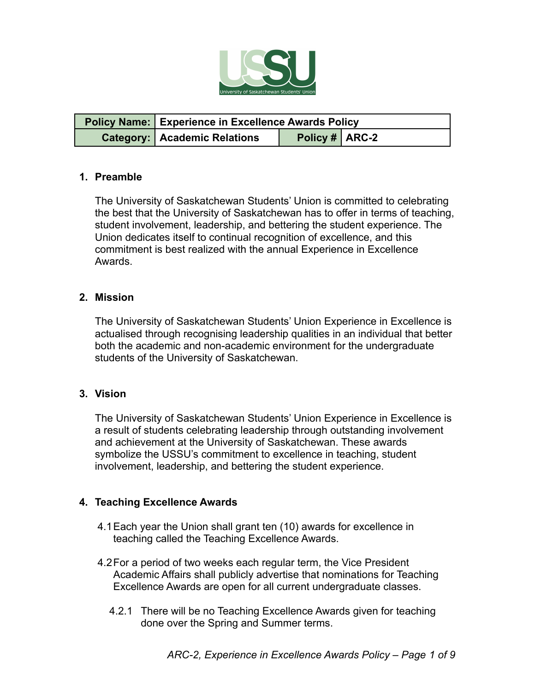

| <b>Policy Name:</b> Experience in Excellence Awards Policy |                |  |  |
|------------------------------------------------------------|----------------|--|--|
| <b>Category:   Academic Relations</b>                      | Policy # ARC-2 |  |  |

### **1. Preamble**

The University of Saskatchewan Students' Union is committed to celebrating the best that the University of Saskatchewan has to offer in terms of teaching, student involvement, leadership, and bettering the student experience. The Union dedicates itself to continual recognition of excellence, and this commitment is best realized with the annual Experience in Excellence Awards.

#### **2. Mission**

The University of Saskatchewan Students' Union Experience in Excellence is actualised through recognising leadership qualities in an individual that better both the academic and non-academic environment for the undergraduate students of the University of Saskatchewan.

### **3. Vision**

The University of Saskatchewan Students' Union Experience in Excellence is a result of students celebrating leadership through outstanding involvement and achievement at the University of Saskatchewan. These awards symbolize the USSU's commitment to excellence in teaching, student involvement, leadership, and bettering the student experience.

### **4. Teaching Excellence Awards**

- 4.1Each year the Union shall grant ten (10) awards for excellence in teaching called the Teaching Excellence Awards.
- 4.2For a period of two weeks each regular term, the Vice President Academic Affairs shall publicly advertise that nominations for Teaching Excellence Awards are open for all current undergraduate classes.
	- 4.2.1 There will be no Teaching Excellence Awards given for teaching done over the Spring and Summer terms.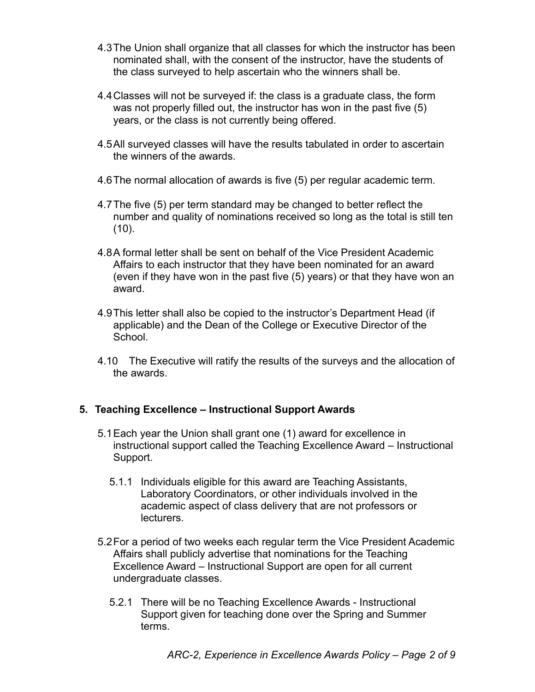- 4.3The Union shall organize that all classes for which the instructor has been nominated shall, with the consent of the instructor, have the students of the class surveyed to help ascertain who the winners shall be.
- 4.4Classes will not be surveyed if: the class is a graduate class, the form was not properly filled out, the instructor has won in the past five (5) years, or the class is not currently being offered.
- 4.5All surveyed classes will have the results tabulated in order to ascertain the winners of the awards.
- 4.6The normal allocation of awards is five (5) per regular academic term.
- 4.7The five (5) per term standard may be changed to better reflect the number and quality of nominations received so long as the total is still ten  $(10)$ .
- 4.8A formal letter shall be sent on behalf of the Vice President Academic Affairs to each instructor that they have been nominated for an award (even if they have won in the past five (5) years) or that they have won an award.
- 4.9This letter shall also be copied to the instructor's Department Head (if applicable) and the Dean of the College or Executive Director of the School.
- 4.10 The Executive will ratify the results of the surveys and the allocation of the awards.

# **5. Teaching Excellence – Instructional Support Awards**

- 5.1Each year the Union shall grant one (1) award for excellence in instructional support called the Teaching Excellence Award – Instructional Support.
	- 5.1.1 Individuals eligible for this award are Teaching Assistants, Laboratory Coordinators, or other individuals involved in the academic aspect of class delivery that are not professors or lecturers.
- 5.2For a period of two weeks each regular term the Vice President Academic Affairs shall publicly advertise that nominations for the Teaching Excellence Award – Instructional Support are open for all current undergraduate classes.
	- 5.2.1 There will be no Teaching Excellence Awards Instructional Support given for teaching done over the Spring and Summer terms.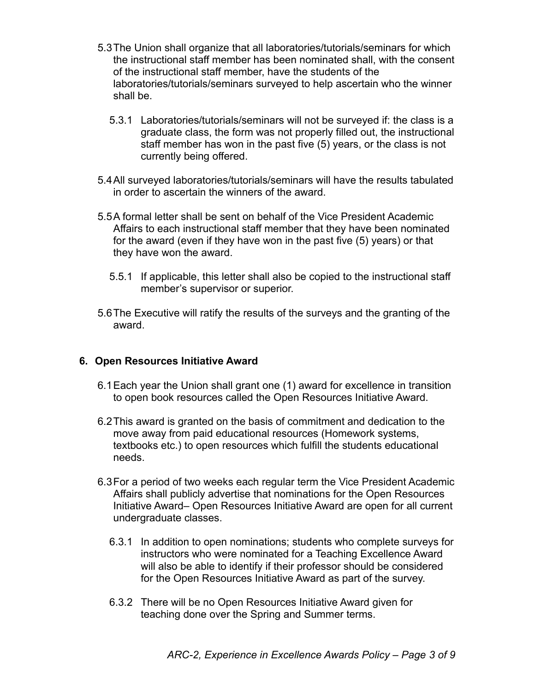- 5.3The Union shall organize that all laboratories/tutorials/seminars for which the instructional staff member has been nominated shall, with the consent of the instructional staff member, have the students of the laboratories/tutorials/seminars surveyed to help ascertain who the winner shall be.
	- 5.3.1 Laboratories/tutorials/seminars will not be surveyed if: the class is a graduate class, the form was not properly filled out, the instructional staff member has won in the past five (5) years, or the class is not currently being offered.
- 5.4All surveyed laboratories/tutorials/seminars will have the results tabulated in order to ascertain the winners of the award.
- 5.5A formal letter shall be sent on behalf of the Vice President Academic Affairs to each instructional staff member that they have been nominated for the award (even if they have won in the past five (5) years) or that they have won the award.
	- 5.5.1 If applicable, this letter shall also be copied to the instructional staff member's supervisor or superior.
- 5.6The Executive will ratify the results of the surveys and the granting of the award.

### **6. Open Resources Initiative Award**

- 6.1Each year the Union shall grant one (1) award for excellence in transition to open book resources called the Open Resources Initiative Award.
- 6.2This award is granted on the basis of commitment and dedication to the move away from paid educational resources (Homework systems, textbooks etc.) to open resources which fulfill the students educational needs.
- 6.3For a period of two weeks each regular term the Vice President Academic Affairs shall publicly advertise that nominations for the Open Resources Initiative Award– Open Resources Initiative Award are open for all current undergraduate classes.
	- 6.3.1 In addition to open nominations; students who complete surveys for instructors who were nominated for a Teaching Excellence Award will also be able to identify if their professor should be considered for the Open Resources Initiative Award as part of the survey.
	- 6.3.2 There will be no Open Resources Initiative Award given for teaching done over the Spring and Summer terms.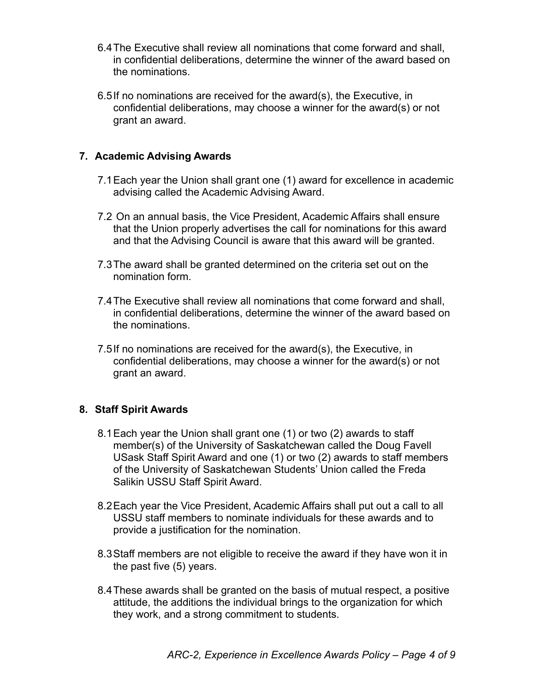- 6.4The Executive shall review all nominations that come forward and shall, in confidential deliberations, determine the winner of the award based on the nominations.
- 6.5If no nominations are received for the award(s), the Executive, in confidential deliberations, may choose a winner for the award(s) or not grant an award.

### **7. Academic Advising Awards**

- 7.1Each year the Union shall grant one (1) award for excellence in academic advising called the Academic Advising Award.
- 7.2 On an annual basis, the Vice President, Academic Affairs shall ensure that the Union properly advertises the call for nominations for this award and that the Advising Council is aware that this award will be granted.
- 7.3The award shall be granted determined on the criteria set out on the nomination form.
- 7.4The Executive shall review all nominations that come forward and shall, in confidential deliberations, determine the winner of the award based on the nominations.
- 7.5If no nominations are received for the award(s), the Executive, in confidential deliberations, may choose a winner for the award(s) or not grant an award.

# **8. Staff Spirit Awards**

- 8.1Each year the Union shall grant one (1) or two (2) awards to staff member(s) of the University of Saskatchewan called the Doug Favell USask Staff Spirit Award and one (1) or two (2) awards to staff members of the University of Saskatchewan Students' Union called the Freda Salikin USSU Staff Spirit Award.
- 8.2Each year the Vice President, Academic Affairs shall put out a call to all USSU staff members to nominate individuals for these awards and to provide a justification for the nomination.
- 8.3Staff members are not eligible to receive the award if they have won it in the past five (5) years.
- 8.4These awards shall be granted on the basis of mutual respect, a positive attitude, the additions the individual brings to the organization for which they work, and a strong commitment to students.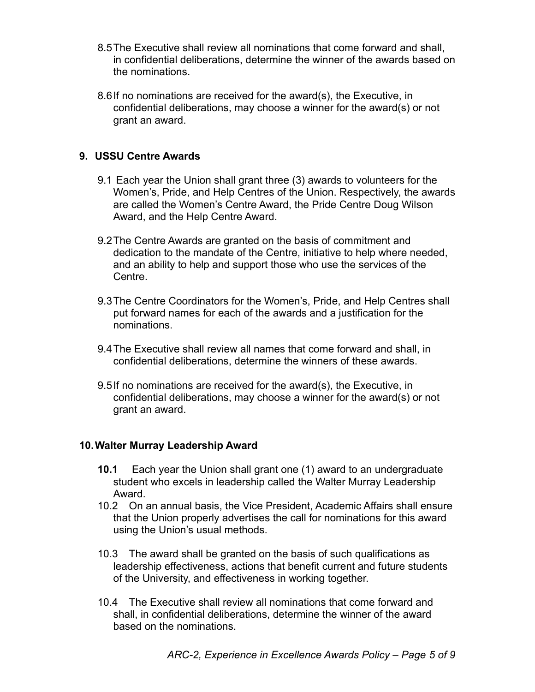- 8.5The Executive shall review all nominations that come forward and shall, in confidential deliberations, determine the winner of the awards based on the nominations.
- 8.6If no nominations are received for the award(s), the Executive, in confidential deliberations, may choose a winner for the award(s) or not grant an award.

## **9. USSU Centre Awards**

- 9.1 Each year the Union shall grant three (3) awards to volunteers for the Women's, Pride, and Help Centres of the Union. Respectively, the awards are called the Women's Centre Award, the Pride Centre Doug Wilson Award, and the Help Centre Award.
- 9.2The Centre Awards are granted on the basis of commitment and dedication to the mandate of the Centre, initiative to help where needed, and an ability to help and support those who use the services of the Centre.
- 9.3The Centre Coordinators for the Women's, Pride, and Help Centres shall put forward names for each of the awards and a justification for the nominations.
- 9.4The Executive shall review all names that come forward and shall, in confidential deliberations, determine the winners of these awards.
- 9.5If no nominations are received for the award(s), the Executive, in confidential deliberations, may choose a winner for the award(s) or not grant an award.

### **10.Walter Murray Leadership Award**

- **10.1** Each year the Union shall grant one (1) award to an undergraduate student who excels in leadership called the Walter Murray Leadership Award.
- 10.2 On an annual basis, the Vice President, Academic Affairs shall ensure that the Union properly advertises the call for nominations for this award using the Union's usual methods.
- 10.3 The award shall be granted on the basis of such qualifications as leadership effectiveness, actions that benefit current and future students of the University, and effectiveness in working together.
- 10.4 The Executive shall review all nominations that come forward and shall, in confidential deliberations, determine the winner of the award based on the nominations.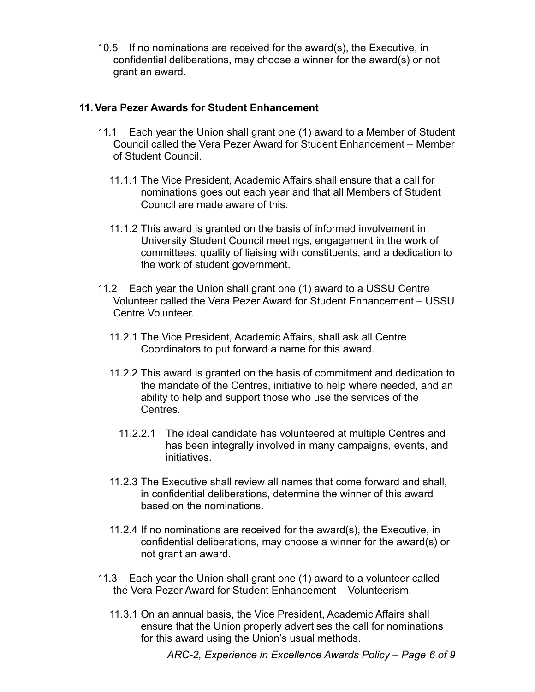10.5 If no nominations are received for the award(s), the Executive, in confidential deliberations, may choose a winner for the award(s) or not grant an award.

## **11.Vera Pezer Awards for Student Enhancement**

- 11.1 Each year the Union shall grant one (1) award to a Member of Student Council called the Vera Pezer Award for Student Enhancement – Member of Student Council.
	- 11.1.1 The Vice President, Academic Affairs shall ensure that a call for nominations goes out each year and that all Members of Student Council are made aware of this.
	- 11.1.2 This award is granted on the basis of informed involvement in University Student Council meetings, engagement in the work of committees, quality of liaising with constituents, and a dedication to the work of student government.
- 11.2 Each year the Union shall grant one (1) award to a USSU Centre Volunteer called the Vera Pezer Award for Student Enhancement – USSU Centre Volunteer.
	- 11.2.1 The Vice President, Academic Affairs, shall ask all Centre Coordinators to put forward a name for this award.
	- 11.2.2 This award is granted on the basis of commitment and dedication to the mandate of the Centres, initiative to help where needed, and an ability to help and support those who use the services of the Centres.
		- 11.2.2.1 The ideal candidate has volunteered at multiple Centres and has been integrally involved in many campaigns, events, and initiatives.
	- 11.2.3 The Executive shall review all names that come forward and shall, in confidential deliberations, determine the winner of this award based on the nominations.
	- 11.2.4 If no nominations are received for the award(s), the Executive, in confidential deliberations, may choose a winner for the award(s) or not grant an award.
- 11.3 Each year the Union shall grant one (1) award to a volunteer called the Vera Pezer Award for Student Enhancement – Volunteerism.
	- 11.3.1 On an annual basis, the Vice President, Academic Affairs shall ensure that the Union properly advertises the call for nominations for this award using the Union's usual methods.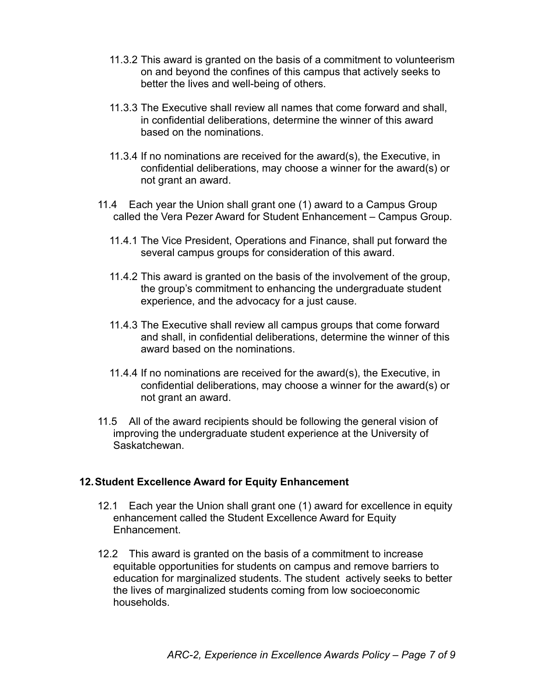- 11.3.2 This award is granted on the basis of a commitment to volunteerism on and beyond the confines of this campus that actively seeks to better the lives and well-being of others.
- 11.3.3 The Executive shall review all names that come forward and shall, in confidential deliberations, determine the winner of this award based on the nominations.
- 11.3.4 If no nominations are received for the award(s), the Executive, in confidential deliberations, may choose a winner for the award(s) or not grant an award.
- 11.4 Each year the Union shall grant one (1) award to a Campus Group called the Vera Pezer Award for Student Enhancement – Campus Group.
	- 11.4.1 The Vice President, Operations and Finance, shall put forward the several campus groups for consideration of this award.
	- 11.4.2 This award is granted on the basis of the involvement of the group, the group's commitment to enhancing the undergraduate student experience, and the advocacy for a just cause.
	- 11.4.3 The Executive shall review all campus groups that come forward and shall, in confidential deliberations, determine the winner of this award based on the nominations.
	- 11.4.4 If no nominations are received for the award(s), the Executive, in confidential deliberations, may choose a winner for the award(s) or not grant an award.
- 11.5 All of the award recipients should be following the general vision of improving the undergraduate student experience at the University of Saskatchewan.

### **12.Student Excellence Award for Equity Enhancement**

- 12.1 Each year the Union shall grant one (1) award for excellence in equity enhancement called the Student Excellence Award for Equity Enhancement.
- 12.2 This award is granted on the basis of a commitment to increase equitable opportunities for students on campus and remove barriers to education for marginalized students. The student actively seeks to better the lives of marginalized students coming from low socioeconomic households.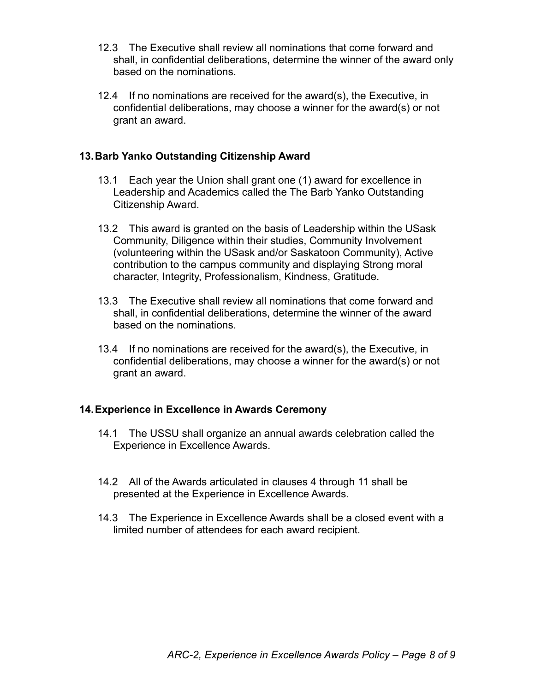- 12.3 The Executive shall review all nominations that come forward and shall, in confidential deliberations, determine the winner of the award only based on the nominations.
- 12.4 If no nominations are received for the award(s), the Executive, in confidential deliberations, may choose a winner for the award(s) or not grant an award.

### **13.Barb Yanko Outstanding Citizenship Award**

- 13.1 Each year the Union shall grant one (1) award for excellence in Leadership and Academics called the The Barb Yanko Outstanding Citizenship Award.
- 13.2 This award is granted on the basis of Leadership within the USask Community, Diligence within their studies, Community Involvement (volunteering within the USask and/or Saskatoon Community), Active contribution to the campus community and displaying Strong moral character, Integrity, Professionalism, Kindness, Gratitude.
- 13.3 The Executive shall review all nominations that come forward and shall, in confidential deliberations, determine the winner of the award based on the nominations.
- 13.4 If no nominations are received for the award(s), the Executive, in confidential deliberations, may choose a winner for the award(s) or not grant an award.

### **14.Experience in Excellence in Awards Ceremony**

- 14.1 The USSU shall organize an annual awards celebration called the Experience in Excellence Awards.
- 14.2 All of the Awards articulated in clauses 4 through 11 shall be presented at the Experience in Excellence Awards.
- 14.3 The Experience in Excellence Awards shall be a closed event with a limited number of attendees for each award recipient.